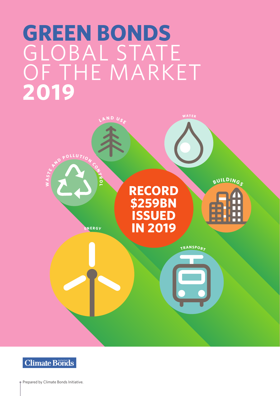# **GREEN BONDS** GLOBAL STATE OF THE MARKET **2019**





Prepared by Climate Bonds Initiative.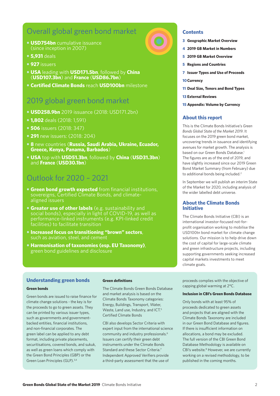### Overall global green bond market

- **• USD754bn** cumulative issuance (since inception in 2007)
- **• 5,931** deals
- **• 927** issuers
- **• USA** leading with **USD171.5bn**, followed by **China** (**USD107.3bn**) and **France** (**USD86.7bn**)
- **• Certified Climate Bonds** reach **USD100bn** milestone

### 2019 global green bond market

- **• USD258.9bn** 2019 issuance (2018: USD171.2bn)
- **• 1,802** deals (2018: 1,591)
- **• 506** issuers (2018: 347)
- **• 291** new issuers: (2018: 204)
- **• 8** new countries (**Russia, Saudi Arabia, Ukraine, Ecuador, Greece, Kenya, Panama, Barbados**)
- **• USA** top with **USD51.3bn**, followed by **China** (**USD31.3bn**) and **France** (**USD30.1bn**)

### Outlook for 2020 – 2021

- **• Green bond growth expected** from financial institutions, sovereigns, Certified Climate Bonds, and climatealigned issuers
- **• Greater use of other labels** (e.g. sustainability and social bonds), especially in light of COVID-19, as well as performance-linked instruments (e.g. KPI-linked credit facilities) to facilitate transition
- **• Increased focus on transitioning "brown" sectors**, such as aviation, steel, and cement
- **• Harmonisation of taxonomies (esp. EU Taxonomy)**, green bond guidelines and disclosure

**5 2019 GB Market Overview**

**3 Geographic Market Overview 4 2019 GB Market in Numbers**

- **5 Regions and Countries**
- **7 Issuer Types and Use of Proceeds**
- **10Currency**

**Contents**

- **11 Deal Size, Tenors and Bond Types**
- **13 External Reviews**
- **15 Appendix: Volume by Currency**

#### **About this report**

This is the Climate Bonds Initiative's *Green Bonds Global State of the Market 2019*. It focuses on the 2019 green bond market, uncovering trends in issuance and identifying avenues for market growth. The analysis is based on our Green Bonds Database.<sup>1</sup> The figures are as of the end of 2019, and have slightly increased since our 2019 Green Bond Market Summary (from February) due to additional bonds being included.<sup>2</sup>

In September we will publish an interim State of the Market for 2020, including analysis of the wider labelled debt universe.

#### **About the Climate Bonds Initiative**

The Climate Bonds Initiative (CBI) is an international investor-focused not-forprofit organisation working to mobilise the USD100tn bond market for climate change solutions. Our mission is to help drive down the cost of capital for large-scale climate and green infrastructure projects, including supporting governments seeking increased capital markets investments to meet climate goals.

#### **Understanding green bonds**

#### **Green bonds**

Green bonds are issued to raise finance for climate change solutions - the key is for the proceeds to go to green assets. They can be printed by various issuer types, such as governments and governmentbacked entities, financial institutions, and non-financial corporates. The green label can be applied to any debt format, including private placements, securitisations, covered bonds, and sukuk, as well as green loans which comply with the Green Bond Principles (GBP) or the Green Loan Principles (GLP).3,4

#### **Green definitions**

The Climate Bonds Green Bonds Database and market analysis is based on the Climate Bonds Taxonomy categories: Energy, Buildings, Transport, Water, Waste, Land use, Industry, and ICT.<sup>5</sup> Certified Climate Bonds

CBI also develops Sector Criteria with expert input from the international science community and industry professionals.6 Issuers can certify their green debt instruments under the Climate Bonds Standard and these Sector Criteria.<sup>7</sup> Independent Approved Verifiers provide a third-party assessment that the use of

proceeds complies with the objective of capping global warming at 2°C.

#### **Inclusion in CBI's Green Bonds Database**

Only bonds with at least 95% of proceeds dedicated to green assets and projects that are aligned with the Climate Bonds Taxonomy are included in our Green Bond Database and figures. If there is insufficient information on allocations, a bond may be excluded. The full version of the CBI Green Bond Database Methodology is available on CBI's website.<sup>8</sup> However, we are currently working on a revised methodology, to be published in the coming months.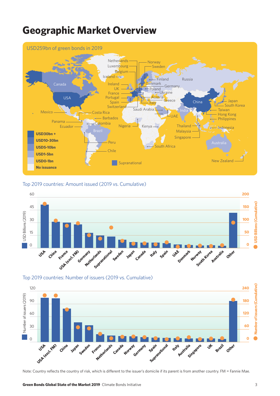### **Geographic Market Overview**



Top 2019 countries: Amount issued (2019 vs. Cumulative)



Top 2019 countries: Number of issuers (2019 vs. Cumulative)



Note: Country reflects the country of risk, which is different to the issuer's domicile if its parent is from another country. FM = Fannie Mae.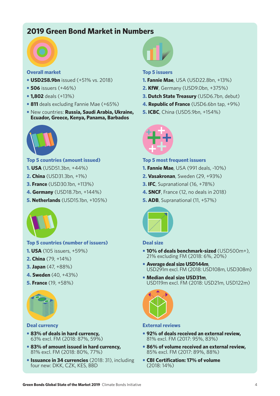### **2019 Green Bond Market in Numbers**



### **Overall market**

- **• USD258.9bn** issued (+51% vs. 2018)
- **• 506** issuers (+46%)
- **• 1,802** deals (+13%)
- **• 811** deals excluding Fannie Mae (+65%)
- **•** New countries: **Russia, Saudi Arabia, Ukraine, Ecuador, Greece, Kenya, Panama, Barbados**



### **Top 5 countries (amount issued)**

- **1. USA** (USD51.3bn, +44%)
- **2. China** (USD31.3bn, +1%)
- **3. France** (USD30.1bn, +113%)
- **4. Germany** (USD18.7bn, +144%)
- **5. Netherlands** (USD15.1bn, +105%)



### **Top 5 countries (number of issuers)**

- **1. USA** (105 issuers, +59%)
- **2. China** (79, +14%)
- **3. Japan** (47, +88%)
- **4. Sweden** (40, +43%)
- **5. France** (19, +58%)



#### **Deal currency**

- **• 83% of deals in hard currency,** 63% excl. FM (2018: 87%, 59%)
- **• 83% of amount issued in hard currency,** 81% excl. FM (2018: 80%, 77%)
- **• Issuance in 34 currencies** (2018: 31), including four new: DKK, CZK, KES, BBD



#### **Top 5 issuers**

- **1. Fannie Mae**, USA (USD22.8bn, +13%)
- **2. KfW**, Germany (USD9.0bn, +375%)
- **3. Dutch State Treasury** (USD6.7bn, debut)
- **4. Republic of France** (USD6.6bn tap, +9%)
- **5. ICBC**, China (USD5.9bn, +154%)



#### **Top 5 most frequent issuers**

- **1. Fannie Mae**, USA (991 deals, -10%)
- **2. Vasakronan**, Sweden (29, +93%)
- **3. IFC**, Supranational (16, +78%)
- **4. SNCF**, France (12, no deals in 2018)
- **5. ADB**, Supranational (11, +57%)



#### **Deal size**

- **• 10% of deals benchmark-sized** (USD500m+), 21% excluding FM (2018: 6%, 20%)
- **• Average deal size USD144m**, USD291m excl. FM (2018: USD108m, USD308m)
- **• Median deal size USD31m**, USD119m excl. FM (2018: USD21m, USD122m)



#### **External reviews**

- **• 92% of deals received an external review,** 81% excl. FM (2017: 95%, 83%)
- **• 86% of volume received an external review,** 85% excl. FM (2017: 89%, 88%)
- **CBI Certification: 17% of volume** (2018: 14%)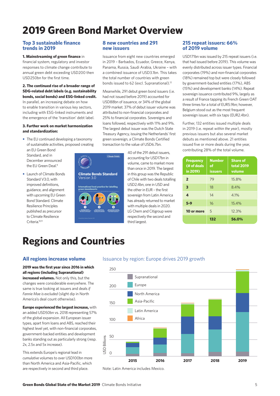## **2019 Green Bond Market Overview**

#### **Top 3 sustainable finance trends in 2019**

#### **1. Mainstreaming of green finance** in

financial system, regulatory and investor responses to climate change contribute to annual green debt exceeding USD200 then USD250bn for the first time.

#### **2. The continued rise of a broader range of SDG-related debt labels (e.g. sustainability bonds, social bonds) and ESG-linked credit.**  In parallel, an increasing debate on how

to enable transition in various key sectors, including with ESG-linked instruments and the emergence of the 'transition' debt label.

#### **3. Further work on market harmonization and standardization:**

**•** The EU continued developing a taxonomy of sustainable activities, proposed creating an EU Green Bond Standard, and in

December announced the EU Green Deal<sup>9</sup>

**•** Launch of Climate Bonds Standard V3.0, with improved definitions, guidance, and alignment with upcoming EU Green Bond Standard. Climate Resilience Principles published as precursor to Climate Resilience Criteria.10,11



**Climate Bonds** 

**8 new countries and 291 new issuers**

Issuance from eight new countries emerged in 2019 – Barbados, Ecuador, Greece, Kenya, Panama, Russia, Saudi Arabia, Ukraine – with a combined issuance of USD3.1bn. This takes the total number of countries with green bonds issued to 62 (excl. Supranational).<sup>12</sup>

Meanwhile, 291 debut green bond issuers (i.e. had not issued before 2019) accounted for USD88bn of issuance, or 34% of the global 2019 market. 37% of debut issuer volume was attributed to non-financial corporates and 25% to financial corporates. Sovereigns and loans followed, respectively with 11% and 9%. The largest debut issuer was the Dutch State Treasury Agency, issuing the Netherlands' first green sovereign, a Climate Bonds Certified transaction to the value of USD6.7bn.

> 40 of the 291 debut issuers, accounting for USD17bn in volume, came to market more than once in 2019. The largest in this group was the Republic of Chile with two deals totalling USD2.4bn, one in USD and the other in EUR – the first sovereign from Latin America has already returned to market with multiple deals in 2020. LG Chem and Citigroup were respectively the second and third largest.

#### **215 repeat issuers: 66% of 2019 volume**

USD171bn was issued by 215 repeat issuers (i.e. that had issued before 2019). This volume was evenly distributed across issuer types. Financial corporates (19%) and non-financial corporates (18%) remained top but were closely followed by government-backed entities (17%), ABS (15%) and development banks (14%). Repeat sovereign issuance contributed 9%, largely as a result of France tapping its French Green OAT three times for a total of EUR5.9bn; however, Belgium stood out as the most frequent sovereign issuer, with six taps (EUR2.4bn).

Further, 132 entities issued multiple deals in 2019 (i.e. repeat *within the year*), mostly previous issuers but also several market debuts as mentioned above. 21 entities issued five or more deals during the year, contributing 28% of the total volume.

| <b>Frequency</b><br>(# of deals<br>in 2019) | <b>Number</b><br>of<br><b>issuers</b> | <b>Share of</b><br><b>total 2019</b><br>volume |
|---------------------------------------------|---------------------------------------|------------------------------------------------|
| $\overline{2}$                              | 79                                    | 15.8%                                          |
| $\overline{\mathbf{3}}$                     | 18                                    | 8.4%                                           |
| 4                                           | 14                                    | 4.1%                                           |
| $5 - 9$                                     | 16                                    | 15.4%                                          |
| 10 or more                                  | 5                                     | 12.3%                                          |
|                                             | 132                                   | 56.0%                                          |

### **Regions and Countries**

#### **All regions increase volume**

**2019 was the first year since 2016 in which all regions (including Supranational) increased volumes.** Not only this, but the changes were considerable everywhere. The same is true looking at issuers and deals *if Fannie Mae is excluded* (slight dip in North America's deal count otherwise).

**Europe experienced the largest increase,** with an added USD50bn vs. 2018 representing 57% of the global expansion. All European issuer types, apart from loans and ABS, reached their highest level yet, with non-financial corporates, government-backed entities and development banks standing out as particularly strong (resp. 2x, 2.5x and 5x increase).

This extends Europe's regional lead in *cumulative* volumes to over USD100bn more than North America and Asia-Pacific, which are respectively in second and third place.

#### Issuance by region: Europe drives 2019 growth



Note: Latin America includes Mexico.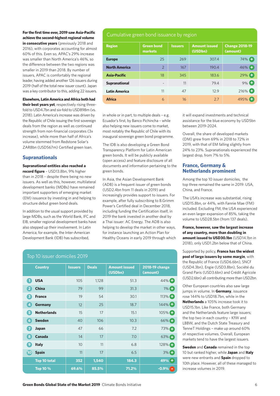#### **For the first time ever, 2019 saw Asia-Pacific achieve the second-highest regional volume in consecutive years** (previously 2018 and

2016), with corporates accounting for almost 60% of this. Even so, APAC's 29% increase was smaller than North America's 46%, so the difference between the two regions was smaller in 2019 than 2018. By number of issuers, APAC is comfortably the regional leader, having added another 126 issuers during 2019 (half of the total new issuer count). Japan was a key contributor to this, adding 22 issuers.

#### **Elsewhere, Latin America and Africa both had**

**their best years yet**, respectively rising threefold to USD4.7bn and six-fold to USD898m (vs. 2018). Latin America's increase was driven by the Republic of Chile issuing the first sovereign deals from the region as well as continued strength from non-financial corporates (3x increase), while more than half of Africa's volume stemmed from Redstone Solar's ZAR8bn (USD567m) Certified green loan.

#### **Supranationals**

#### **Supranational entities also reached a**

**record figure** – USD13.8bn, 9% higher than in 2018 – despite there being no new issuers. As well as this, however, multilateral development banks (MDBs) have remained important supporters of emerging market (EM) issuance by investing in and helping to structure debut green bond deals.

In addition to the usual support provided by large MDBs, such as the World Bank, IFC and EIB, smaller regional development banks have also stepped up their involvement. In Latin America, for example, the Inter-American Development Bank (IDB) has subscribed,

#### Cumulative green bond issuance by region

| <b>Region</b>        | <b>Green bond</b><br>markets | <b>Issuers</b> | <b>Amount issued</b><br>(USDbn) | <b>Change 2018-19</b><br>(amount) |
|----------------------|------------------------------|----------------|---------------------------------|-----------------------------------|
| <b>Europe</b>        | 25                           | 269            | 307.4                           | $74\%$                            |
| <b>North America</b> | $\overline{2}$               | 167            | 190.4                           | $46%$ $\bigoplus$                 |
| <b>Asia-Pacific</b>  | 18                           | 345            | 183.6                           | 29%                               |
| <b>Supranational</b> | $\overline{\phantom{a}}$     | 11             | 79.4                            | 9%                                |
| <b>Latin America</b> | 11                           | 47             | 12.9                            | 216%                              |
| <b>Africa</b>        | 6                            | 16             | 2.7                             | 495%                              |

in whole or in part, to multiple deals – e.g. Ecuador's first, by Banco Pichincha – while also helping new issuers come to market, most notably the Republic of Chile with its inaugural sovereign green bond programme.

The IDB is also developing a Green Bond Transparency Platform for Latin American green bonds. It will be publicly available (open access) and feature disclosure of all documents and information pertaining to the green bonds.

In Asia, the Asian Development Bank (ADB) is a frequent issuer of green bonds (USD2.4bn from 11 deals in 2019) and increasingly provides support to issuers. For example, after fully subscribing to B.Grimm Power's Certified deal in December 2018, including funding the Certification itself, in 2019 the bank invested in another deal by a Thai issuer: AC Energy. The ADB is also helping to develop the market in other ways, for instance launching an Action Plan for Healthy Oceans in early 2019 through which

| <b>Country</b>                          | <b>Issuers</b> | <b>Deals</b> | <b>Amount issued</b><br>(USDbn) | 2018-19 change<br>(amount) |  |  |
|-----------------------------------------|----------------|--------------|---------------------------------|----------------------------|--|--|
| <b>USA</b><br>1                         | 105            | 1,128        | 51.3                            | 44% $\bigoplus$            |  |  |
| $\overline{\mathbf{2}}$<br><b>China</b> | 79             | 99           | 31.3                            | $1\%$ $\Box$               |  |  |
| 3<br><b>France</b>                      | 19             | 54           | 30.1                            | 113% <sup></sup>           |  |  |
| $\overline{4}$<br><b>Germany</b>        | 12             | 25           | 18.7                            | 144%                       |  |  |
| <b>Netherlands</b><br>5                 | 15             | 17           | 15.1                            | 105%                       |  |  |
| <b>Sweden</b><br>$6\phantom{1}6$        | 40             | 106          | 10.3                            | $66\%$                     |  |  |
| 7<br>Japan                              | 47             | 66           | 7.2                             | 73%                        |  |  |
| 8<br><b>Canada</b>                      | 14             | 17           | 7.0                             | $63%$ $\bigoplus$          |  |  |
| 9<br><b>Italy</b>                       | 10             | 11           | 6.8                             | 128%                       |  |  |
| $\overline{10}$<br><b>Spain</b>         | 11             | 17           | 6.5                             | $3%$ $\Box$                |  |  |
| Top 10 total                            | 352            | 1,540        | 184.3                           | $49% +$                    |  |  |
| <b>Top 10 %</b>                         | 69.6%          | 85.5%        | 71.2%                           | $-0.9\%$ $-$               |  |  |

it will expand investments and technical assistance for the blue economy by USD5bn between 2019-2024.

Overall, the share of developed markets (DM) grew from 69% in 2018 to 72% in 2019, with that of EM falling slightly from 24% to 23%. Supranationals experienced the largest drop, from 7% to 5%.

#### **France, Germany & Netherlands prominent**

Among the top 10 issuer domiciles, the top three remained the same in 2019: USA, China, and France.

The USA's increase was substantial, rising USD15.8bn, or 44%, with Fannie Mae (FM) included. Excluding FM, the USA experienced an even larger expansion of 85%, taking the volume to USD28.5bn (from 137 deals).

#### **France, however, saw the largest increase of any country, more than doubling in amount issued to USD30.1bn** (USD14.1bn in 2018), only USD1.2bn below that of China.

Supported by policy, **France has the widest pool of large issuers by some margin**, with the Republic of France (USD6.6bn), SNCF (USD4.3bn), Engie (USD3.8bn), Société du Grand Paris (USD3.6bn) and Crédit Agricole (USD2.6bn) all contributing more than USD2bn.

Other European countries also saw large jumps in volume. In **Germany**, issuance rose 144% to USD18.7bn, while in the **Netherlands** a 105% increase took it to USD15.1bn. Like France, both Germany and the Netherlands feature large issuers; the top two in each country – KfW and LBBW, and the Dutch State Treasury and TenneT Holdings – make up around 60% of respective volumes. Overall, European markets tend to have the largest issuers.

**Sweden** and **Canada** remained in the top 10 but ranked higher, while **Japan** and **Italy** were new entrants and **Spain** dropped to 10th place. However, all of these managed to increase volumes in 2019.

#### Top 10 issuer domiciles 2019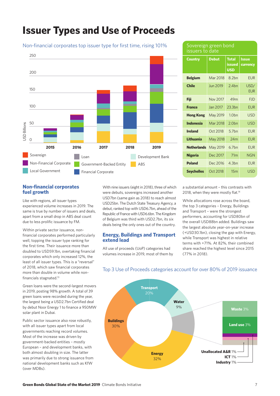### **Issuer Types and Use of Proceeds**

Non-financial corporates top issuer type for first time, rising 101%

### 250 200 150  $100$ 50 JSD Billions USD Billions  $\Omega$ **2015 2016 2017 2018 2019** Sovereign Loan Development Bank Non-Financial Corporate **ABS** Government-Backed Entity **ABS** Local GovernmentFinancial Corporate

#### **Country Belgium Chile Fiji France Hong Kong Indonesia Ireland Lithuania Netherlands** May 2019 **Nigeria Poland Seychelles Debut** Mar 2018 Jun 2019 Nov 2017 Jan 2017 May 2019 Mar 2018 Oct 2018 May 2018 Dec 2017 Dec 2016 Oct 2018 **Total issued USD** 8.2bn 2.4bn 49m 23.3bn 1.0bn 2.0bn 5.7bn 24m 6.7bn 71m 4.3bn 15m **Issue currency** EUR USD/ EUR **FID** EUR USD USD EUR EUR EUR **NGN** EUR USD Sovereign green bond issuers to date

#### **Non-financial corporates fuel growth**

Like with regions, all issuer types experienced volume increases in 2019. The same is true by number of issuers and deals, apart from a small drop in ABS deal count due to less prolific issuance by FM.

Within private sector issuance, nonfinancial corporates performed particularly well, topping the issuer type ranking for the first time. Their issuance more than doubled to USD59.1bn, overtaking financial corporates which only increased 12%, the least of all issuer types. This is a "reversal" of 2018, which saw financial corporates more than double in volume while nonfinancials stagnated.<sup>13</sup>

Green loans were the second-largest movers in 2019, posting 98% growth. A total of 39 green loans were recorded during the year, the largest being a USD2.7bn Certified deal by debut Noor Energy 1 to finance a 950MW solar plant in Dubai.

Public sector issuance also rose robustly, with all issuer types apart from local governments reaching record volumes. Most of the increase was driven by government-backed entities – mostly European – and development banks, with both almost doubling in size. The latter was primarily due to strong issuance from national development banks such as KfW (over MDBs).

With nine issuers (eight in 2018), three of which were debuts, sovereigns increased another USD7bn (same gain as 2018) to reach almost USD25bn. The Dutch State Treasury Agency, a debut, ranked top with USD6.7bn, ahead of the Republic of France with USD6.6bn. The Kingdom of Belgium was third with USD2.7bn, its six deals being the only ones out of the country.

#### **Energy, Buildings and Transport extend lead**

All use of proceeds (UoP) categories had volumes increase in 2019, most of them by

a substantial amount – this contrasts with 2018, when they were mostly flat.<sup>14</sup>

While allocations rose across the board, the top 3 categories – Energy, Buildings and Transport – were the strongest performers, accounting for USD80bn of the overall USD88bn added. Buildings saw the largest absolute year-on-year increase (+USD30.1bn), closing the gap with Energy, while Transport was highest in relative terms with +71%. At 82%, their combined share reached the highest level since 2015 (77% in 2018).



### Top 3 Use of Proceeds categories account for over 80% of 2019 issuance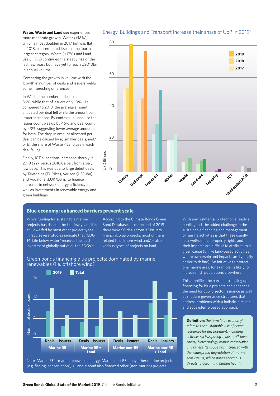**Water, Waste and Land use** experienced more moderate growth. Water (+18%), which almost doubled in 2017 but was flat in 2018, has cemented itself as the fourth largest category. Waste (+17%) and Land use (+17%) continued the steady rise of the last few years but have yet to reach USD10bn in annual volume.

Comparing the growth in volume with the growth in number of deals and issuers yields some interesting differences.

In Waste, the number of deals rose 36%, while that of issuers only 10% - i.e. compared to 2018, the average amount allocated per deal fell while the amount per issuer increased. By contrast, in Land use the issuer count was up by 46% and deal count by 43%, suggesting lower average amounts for both. The drop in amount allocated per deal can be caused by a) smaller deals, and/ or b) the share of Waste / Land use in each deal falling.

Finally, ICT allocations increased sharply in 2019 (22x versus 2018), albeit from a very low base. This was due to large debut deals by Telefónica (EUR1bn), Verizon (USD1bn) and Vodafone (EUR750m) to finance increases in network energy efficiency as well as investments in renewable energy and green buildings.

#### Energy, Buildings and Transport increase their share of UoP in 201915



#### **Blue economy: enhanced barriers prevent scale**

While funding for sustainable marine projects has risen in the last few years, it is still dwarfed by most other project types in fact, several studies indicate that "SDG 14: Life below water" receives the least investment globally out of all the SDGs.<sup>16</sup>

According to the Climate Bonds Green Bond Database, as of the end of 2019 there were 50 deals from 32 issuers financing blue projects, most of them related to offshore wind and/or also various types of projects on land.

public good, the added challenge in the sustainable financing and management of marine activities is that these usually lack well-defined property rights and their impacts are difficult to attribute to a given cause (unlike land-based activities, where ownership and impacts are typically easier to define). An initiative to protect one marine area, for example, is likely to increase fish populations elsewhere.

With environmental protection already a

This amplifies the barriers to scaling up financing for blue projects and enhances the need for public sector issuance as well as modern governance structures that address problems with a holistic, circular and ecosystems-based approach.

**Definition:** *the term 'blue economy' refers to the sustainable use of ocean resources for development, including activities such as fishing, tourism, offshore energy, biotechnology, marine conservation and others. Its usage has increased with the widespread degradation of marine ecosystems, which poses enormous threats to ocean and human health.*



Note: Marine RE = marine renewable energy; Marine non-RE = any other marine projects (e.g. fishing, conservation); + Land = bond also financed other (non-marine) projects.

Green bonds financing blue projects: dominated by marine renewables (i.e. offshore wind)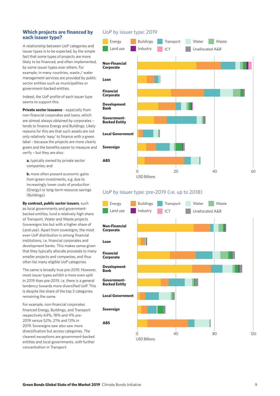#### **Which projects are financed by each issuer type?**

A relationship between UoP categories and issuer types is to be expected, by the simple fact that some types of projects are more likely to be financed, and often implemented, by some issuer types over others. For example, in many countries, waste / water management services are provided by public sector entities such as municipalities or government-backed entities.

Indeed, the UoP profile of each issuer type seems to support this.

**Private sector issuance** - especially from non-financial corporates and loans, which are almost always obtained by corporates – tends to finance Energy and Buildings. Likely reasons for this are that such assets are not only relatively 'easy' to finance with a green label – because the projects are more clearly green and the benefits easier to measure and verify – but they are also:

**a.** typically owned by private sector companies; and

**b.** more often present economic gains from green investments, e.g. due to increasingly lower costs of production (Energy) or long-term resource savings (Buildings).

**By contrast, public sector issuers**, such as local governments and governmentbacked entities, fund a relatively high share of Transport, Water and Waste projects (sovereigns too but with a higher share of Land use). Apart from sovereigns, the most even UoP distribution is among financial institutions, i.e. financial corporates and development banks. This makes sense given that they typically allocate proceeds to many smaller projects and companies, and thus often list many eligible UoP categories.

The same is broadly true pre-2019. However, most issuer types exhibit a more even split in 2019 than pre-2019, i.e. there is a general tendency towards more diversified UoP. This is despite the share of the top 3 categories remaining the same.

For example, non-financial corporates financed Energy, Buildings, and Transport respectively 64%, 18% and 4% pre-2019 versus 52%, 21% and 13% in 2019. Sovereigns saw also saw more diversification but across categories. The clearest exceptions are government-backed entities and local governments, with further concentration in Transport.

#### UoP by issuer type: 2019



#### UoP by issuer type: pre-2019 (i.e. up to 2018)

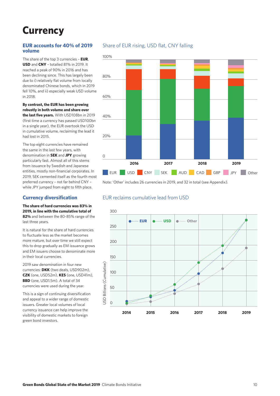## **Currency**

#### **EUR accounts for 40% of 2019 volume**

The share of the top 3 currencies – **EUR**, **USD** and **CNY** – totalled 81% in 2019. It reached a peak of 90% in 2016 and has been declining since. This has largely been due to i) relatively flat volume from locally denominated Chinese bonds, which in 2019 fell 10%, and ii) especially weak USD volume in 2018.

#### **By contrast, the EUR has been growing robustly in both volume and share over**

**the last five years.** With USD108bn in 2019 (first time a currency has passed USD100bn in a single year), the EUR overtook the USD in cumulative volume, reclaiming the lead it had lost in 2015.

The top eight currencies have remained the same in the last few years, with denomination in **SEK** and **JPY** growing particularly fast. Almost all of this stems from issuance by Swedish and Japanese entities, mostly non-financial corporates. In 2019, SEK cemented itself as the fourth most preferred currency – not far behind CNY – while JPY jumped from eight to fifth place.

#### **Currency diversification**

#### **The share of hard currencies was 83% in 2019, in line with the cumulative total of 82%** and between the 80-85% range of the last three years.

It is natural for the share of hard currencies to fluctuate less as the market becomes more mature, but over time we still expect this to drop gradually as EM issuance grows and EM issuers choose to denominate more in their local currencies.

2019 saw denomination in four new currencies: **DKK** (two deals, USD902m), **CZK** (one, USD52m), **KES** (one, USD41m), **BBD** (one, USD1.5m). A total of 34 currencies were used during the year.

This is a sign of continuing diversification and appeal to a wider range of domestic issuers. Greater local volumes of local currency issuance can help improve the visibility of domestic markets to foreign green bond investors.

### Share of EUR rising, USD flat, CNY falling



Note: 'Other' includes 26 currencies in 2019, and 32 in total (see Appendix).

#### EUR reclaims cumulative lead from USD

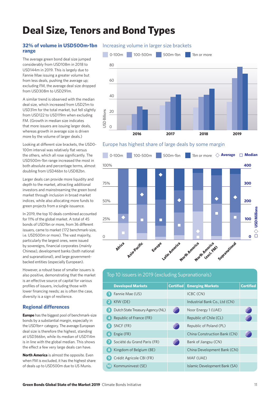## **Deal Size, Tenors and Bond Types**

## **range**

The average green bond deal size jumped considerably from USD108m in 2018 to USD144m in 2019. This is largely due to Fannie Mae issuing a greater volume but from less deals, pushing the average up; excluding FM, the average deal size dropped from USD308m to USD291m.

A similar trend is observed with the median deal size, which increased from USD21m to USD31m for the total market, but fell slightly from USD122 to USD119m when excluding FM. (Growth in median size indicates that more issuers are issuing larger deals, whereas growth in average size is driven more by the volume of larger deals.)

Looking at different size brackets, the USD0-100m interval was relatively flat versus the others, which all rose significantly. The USD500m-1bn range increased the most in both absolute and percentage terms, almost doubling from USD46bn to USD82bn.

Larger deals can provide more liquidity and depth to the market, attracting additional investors and mainstreaming the green bond market through inclusion in broad market indices, while also allocating more funds to green projects from a single issuance.

In 2019, the top 10 deals combined accounted for 11% of the global market. A total of 45 bonds of USD1bn or more, from 36 different issuers, came to market (172 benchmark-size, i.e. USD500m or more). The vast majority, particularly the largest ones, were issued by sovereigns, financial corporates (mainly Chinese), development banks (both national and supranational), and large governmentbacked entities (especially European).

However, a robust base of smaller issuers is also positive, demonstrating that the market is an effective source of capital for various profiles of issuers, including those with lower financing needs; as is often the case, diversity is a sign of resilience.

### **Regional differences**

**Europe** has the biggest pool of benchmark-size bonds by a substantial margin, especially in the USD1bn+ category. The average European deal size is therefore the highest, standing at USD366bn, while its median of USD114m is in line with the global median. This shows the effect a few very large deals can have.

**North America** is almost the opposite. Even when FM is excluded, it has the highest share of deals up to USD500m due to US Munis.

#### **32% of volume in USD500m-1bn** Increasing volume in larger size brackets



#### Europe has highest share of large deals by some margin



| Top 10 issuers in 2019 (excluding Supranationals) |                  |                               |                  |  |  |  |  |  |  |
|---------------------------------------------------|------------------|-------------------------------|------------------|--|--|--|--|--|--|
| <b>Developed Markets</b>                          | <b>Certified</b> | <b>Emerging Markets</b>       | <b>Certified</b> |  |  |  |  |  |  |
| Fannie Mae (US)                                   |                  | ICBC (CN)                     |                  |  |  |  |  |  |  |
| KfW (DE)<br>$\overline{2}$                        |                  | Industrial Bank Co., Ltd (CN) |                  |  |  |  |  |  |  |
| Dutch State Treasury Agency (NL)<br>3             |                  | Noor Energy 1 (UAE)           |                  |  |  |  |  |  |  |
| Republic of France (FR)<br>4                      |                  | Republic of Chile (CL)        |                  |  |  |  |  |  |  |
| SNCF (FR)<br>5.                                   |                  | Republic of Poland (PL)       |                  |  |  |  |  |  |  |
| Engie (FR)<br>6                                   |                  | China Construction Bank (CN)  |                  |  |  |  |  |  |  |
| Société du Grand Paris (FR)                       |                  | Bank of Jiangsu (CN)          |                  |  |  |  |  |  |  |
| $\bf{8}$<br>Kingdom of Belgium (BE)               |                  | China Development Bank (CN)   |                  |  |  |  |  |  |  |
| Crédit Agricole CBI (FR)<br>$\overline{9}$        |                  | MAF (UAE)                     |                  |  |  |  |  |  |  |
| Kommuninvest (SE)<br>$\bf{10}$                    |                  | Islamic Development Bank (SA) |                  |  |  |  |  |  |  |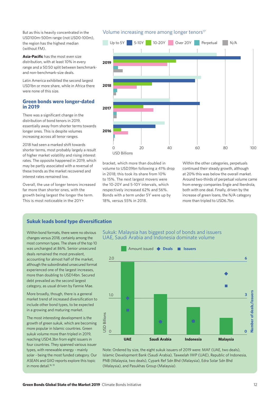But as this is heavily concentrated in the USD100m-500m range (not USD0-100m), the region has the highest median (without FM).

**Asia-Pacific** has the most even size distribution, with at least 10% in every range and a 50:50 split between benchmarkand non-benchmark-size deals.

Latin America exhibited the second largest USD1bn or more share, while in Africa there were none of this size.

#### **Green bonds were longer-dated in 2019**

There was a significant change in the distribution of bond tenors in 2019, essentially away from shorter terms towards longer ones. This is despite volumes increasing across all tenor ranges.

2018 had seen a marked shift towards shorter terms, most probably largely a result of higher market volatility and rising interest rates. The opposite happened in 2019, which may be partly associated with a reversal of these trends as the market recovered and interest rates remained low.

Overall, the use of longer tenors increased far more than shorter ones, with the growth being largest the longer the term. This is most noticeable in the 20Y+

#### Volume increasing more among longer tenors<sup>17</sup>



bracket, which more than doubled in volume to USD39bn following a 41% drop in 2018; this took its share from 10% to 15%. The next largest movers were the 10-20Y and 5-10Y intervals, which respectively increased 62% and 56%. Bonds with a term under 5Y were up by 18%, versus 55% in 2018.

Within the other categories, perpetuals continued their steady growth, although at 20% this was below the overall market. Around two-thirds of perpetual volume came from energy companies Engie and Iberdrola, both with one deal. Finally, driven by the increase of green loans, the N/A category more than tripled to USD6.7bn.

#### **Sukuk leads bond type diversification**

Within bond formats, there were no obvious changes versus 2018, certainly among the most common types. The share of the top 10 was unchanged at 86%. Senior unsecured deals remained the most prevalent, accounting for almost half of the market, although the subordinated unsecured format experienced one of the largest increases, more than doubling to USD14bn. Secured debt prevailed as the second largest category, as usual driven by Fannie Mae.

More broadly, though, there is a general market trend of increased diversification to include other bond types, to be expected in a growing and maturing market.

The most interesting development is the growth of green sukuk, which are becoming more popular in Islamic countries. Green sukuk volume more than tripled in 2019, reaching USD4.3bn from eight issuers in four countries. They spanned various issuer types, with renewable energy - mainly solar - being the most funded category. Our ASEAN and GIIO reports explore this topic in more detail.<sup>18, 19</sup>





Note: Ordered by size, the eight sukuk issuers of 2019 were: MAF (UAE, two deals), Islamic Development Bank (Saudi Arabia), Taweelah IWP (UAE), Republic of Indonesia, PNB (Malaysia, two deals), Cypark Ref Sdn Bhd (Malaysia), Edra Solar Sdn Bhd (Malaysia), and Pasukhas Group (Malaysia).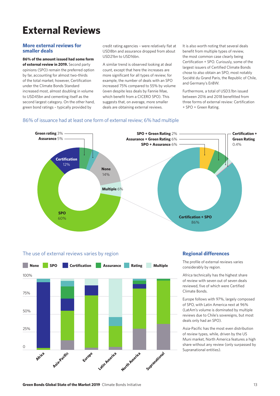## **External Reviews**

#### **More external reviews for smaller deals**

#### **86% of the amount issued had some form**

**of external review in 2019.** Second party opinions (SPO) remain the preferred option by far, accounting for almost two-thirds of the total market; however, Certification under the Climate Bonds Standard increased most, almost doubling in volume to USD45bn and cementing itself as the second largest category. On the other hand, green bond ratings – typically provided by

credit rating agencies - were relatively flat at USD8bn and assurance dropped from about USD21bn to USD16bn.

A similar trend is observed looking at deal count, except that here the increases are more significant for all types of review; for example, the number of deals with an SPO increased 75% compared to 55% by volume (even despite less deals by Fannie Mae, which benefit from a CICERO SPO). This suggests that, on average, more smaller deals are obtaining external reviews.

It is also worth noting that several deals benefit from multiple types of review. the most common case clearly being Certification + SPO. Curiously, some of the largest issuers of Certified Climate Bonds chose to also obtain an SPO, most notably Société du Grand Paris, the Republic of Chile, and Germany's EnBW.

Furthermore, a total of USD3.1bn issued between 2016 and 2018 benefitted from three forms of external review: Certification + SPO + Green Rating.

#### 86% of issuance had at least one form of external review; 6% had multiple



#### The use of external reviews varies by region



#### **Regional differences**

The profile of external reviews varies considerably by region.

Africa technically has the highest share of review with seven out of seven deals reviewed, five of which were Certified Climate Bonds.

Europe follows with 97%, largely composed of SPO, with Latin America next at 96% (LatAm's volume is dominated by multiple reviews due to Chile's sovereigns, but most deals only had an SPO).

Asia-Pacific has the most even distribution of review types, while, driven by the US Muni market, North America features a high share without any review (only surpassed by Supranational entities).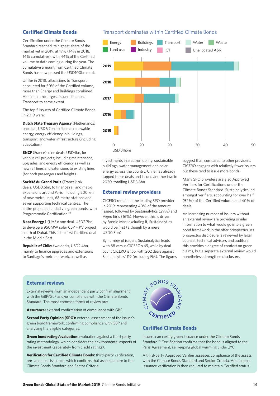#### **Certified Climate Bonds**

Certification under the Climate Bonds Standard reached its highest share of the market yet in 2019, at 17% (14% in 2018, 14% cumulative), with 44% of the Certified volume to date coming during the year. The cumulative amount from Certified Climate Bonds has now passed the USD100bn mark.

Unlike in 2018, allocations to Transport accounted for 50% of the Certified volume, more than Energy and Buildings combined. Almost all the largest issuers financed Transport to some extent.

The top 5 issuers of Certified Climate Bonds in 2019 were:

**Dutch State Treasury Agency** (Netherlands): one deal, USD6.7bn, to finance renewable energy, energy efficiency in buildings, transport, and water infrastructure (including adaptation).

**SNCF** (France): nine deals, USD4bn, for various rail projects, including maintenance, upgrades, and energy efficiency as well as new rail lines and extensions to existing lines (for both passengers and freight).

**Société du Grand Paris** (France): six deals, USD3.6bn, to finance rail and metro expansions around Paris, including 200 km of new metro lines, 68 metro stations and seven supporting technical centres. The entire project is funded via green bonds, with Programmatic Certification.20

**Noor Energy 1** (UAE): one deal, USD2.7bn, to develop a 950MW solar CSP + PV project south of Dubai. This is the first Certified deal in the Middle East.

**Republic of Chile:** two deals, USD2.4bn, mainly to finance upgrades and extensions to Santiago's metro network, as well as

#### Transport dominates within Certified Climate Bonds



investments in electromobility, sustainable buildings, water management and solar energy across the country. Chile has already tapped these deals and issued another two in 2020, totalling USD3.8bn.

#### **External review providers**

CICERO remained the leading SPO provider in 2019, representing 40% of the amount issued, followed by Sustainalytics (29%) and Vigeo Eiris (16%). However, this is driven by Fannie Mae; excluding it, Sustainalytics would be first (although by a mere USD0.3bn).

By number of issuers, Sustainalytics leads with 88 versus CICERO's 69, while by deal count CICERO is top, with 202 deals against Sustainalytics' 119 (excluding FM). The figures suggest that, compared to other providers, CICERO engages with relatively fewer issuers but these tend to issue more bonds.

Many SPO providers are also Approved Verifiers for Certifications under the Climate Bonds Standard. Sustainalytics led amongst verifiers, accounting for over half (52%) of the Certified volume and 40% of deals.

An increasing number of issuers without an external review are providing similar information to what would go into a green bond framework in the offer prospectus. As prospectus disclosure is reviewed by legal counsel, technical advisors and auditors, this provides a degree of comfort on green claims, but a separate external review would nonetheless strengthen disclosure.

#### **External reviews**

External reviews from an independent party confirm alignment with the GBP/GLP and/or compliance with the Climate Bonds Standard. The most common forms of review are:

**Assurance:** external confirmation of compliance with GBP.

**Second Party Opinion (SPO):** external assessment of the issuer's green bond framework, confirming compliance with GBP and analysing the eligible categories.

**Green bond rating/evaluation:** evaluation against a third-party rating methodology, which considers the environmental aspects of the investment (separately from credit ratings).

**Verification for Certified Climate Bonds:** third-party verification, pre- and post-issuance, which confirms that assets adhere to the Climate Bonds Standard and Sector Criteria.



#### **Certified Climate Bonds**

Issuers can certify green issuance under the Climate Bonds Standard.21 Certification confirms that the bond is aligned to the Paris Agreement, i.e. keeping global warming under 2°C.

A third-party Approved Verifier assesses compliance of the assets with the Climate Bonds Standard and Sector Criteria. Annual postissuance verification is then required to maintain Certified status.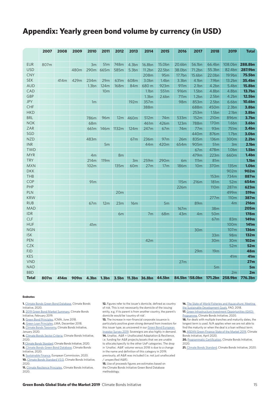### **Appendix: Yearly green bond volume by currency (in USD)**

|              | 2007 | 2008 | 2009 | 2010              | 2011                    | 2012            | 2013              | 2014                       | 2015                     | 2016                        | 2017              | 2018              | 2019                       | <b>Total</b>      |
|--------------|------|------|------|-------------------|-------------------------|-----------------|-------------------|----------------------------|--------------------------|-----------------------------|-------------------|-------------------|----------------------------|-------------------|
| <b>EUR</b>   | 807m |      |      |                   |                         |                 | 4.3bn             | 16.8bn                     |                          |                             |                   |                   | 108.0bn                    | 288.8bn           |
| <b>USD</b>   |      |      |      | 3m                | 51 <sub>m</sub><br>665m | 748m<br>585m    |                   |                            | 15.0bn                   | 20.6bn                      | 56.1bn            | 66.4bn            |                            | 287.9bn           |
| <b>CNY</b>   |      |      | 480m | 290m              |                         |                 | 5.3 <sub>bn</sub> | 11.2 <sub>bn</sub><br>208m | 22.5bn                   | 38.0bn                      | 71.2bn            | 55.3bn<br>22.0bn  | 82.4bn<br>19.9bn           | 75.5bn            |
| <b>SEK</b>   |      | 414m | 429m | 234m              | 29m                     | 631m            | 608m              | 3.0bn                      | 95m<br>1.4 <sub>bn</sub> | 17.7bn<br>3.3 <sub>bn</sub> | 15.6bn<br>4.1bn   | 7.9bn             | 13.2bn                     | 35.4bn            |
| <b>AUD</b>   |      |      |      | 1.3 <sub>bn</sub> | 124m                    |                 |                   | 680 m                      | 923m                     | 911m                        | 2.1bn             | 4.2bn             |                            | <b>15.8bn</b>     |
| CAD          |      |      |      |                   |                         | 168m            | 84m               |                            | 551 <sub>m</sub>         | 916m                        | 1.5 <sub>bn</sub> | 4.8bn             | 5.4bn<br>4.8 <sub>bn</sub> | 13.7bn            |
| <b>GBP</b>   |      |      |      |                   | 10 <sub>m</sub>         |                 |                   | 1.1bn<br>1.3 <sub>bn</sub> |                          |                             | 1.2 <sub>bn</sub> | 2.5 <sub>bn</sub> | 4.2bn                      | 12.5bn            |
| <b>JPY</b>   |      |      |      | 1m                |                         |                 | 192m              | 357m                       | 2.6 <sub>bn</sub>        | 711m<br>98m                 | 853m              | 2.5 <sub>bn</sub> | 6.6 <sub>bn</sub>          | <b>10.6bn</b>     |
| CHF          |      |      |      |                   |                         |                 |                   | 388m                       |                          |                             | 688m              | 450m              | 2.3bn                      | <b>3.8bn</b>      |
| <b>HKD</b>   |      |      |      |                   |                         |                 |                   |                            |                          |                             | 253m              | 1.5 <sub>bn</sub> | 2.1bn                      | <b>3.8bn</b>      |
| <b>BRL</b>   |      |      |      | 786m              | 96m                     | 12 <sub>m</sub> | 460m              |                            | 74 <sub>m</sub>          | 533m                        |                   | 210 <sub>m</sub>  | 896m                       | <b>3.7bn</b>      |
| <b>NOK</b>   |      |      |      | 68m               |                         |                 |                   | 512m<br>461m               | 426m                     | 123m                        | 152m<br>788m      | 170 <sub>m</sub>  | 1.6 <sub>bn</sub>          | 3.6bn             |
| ZAR          |      |      |      | 661m              | 146m                    | 1132m           | 124m              | 247m                       | 67m                      | 74m                         | 77m               | 93m               | 751m                       | 3.4bn             |
| SGD          |      |      |      |                   |                         |                 |                   |                            |                          |                             | 440m              | 876m              | 1.7 <sub>bn</sub>          | 3.0bn             |
| <b>NZD</b>   |      |      |      | 483m              |                         |                 |                   | 236m                       | 97m                      | 26m                         | 835m              | 136m              | 300m                       | 2.2bn             |
| <b>INR</b>   |      |      |      |                   | 5 <sub>m</sub>          |                 | 67 <sub>m</sub>   |                            |                          |                             | 905m              | 51 <sub>m</sub>   | 3m                         | 2.1 <sub>bn</sub> |
| <b>TWD</b>   |      |      |      |                   |                         |                 |                   | 44m                        | 420m                     | 654m                        | 67m               | 478m              | 1.0 <sub>bn</sub>          | 1.5 <sub>bn</sub> |
| <b>MYR</b>   |      |      |      |                   |                         |                 |                   |                            |                          |                             | 479m              | 223m              | 660m                       | 1.4 <sub>bn</sub> |
| <b>TRY</b>   |      |      |      | 4m<br>214m        | 119 <sub>m</sub>        | 8m              |                   | 259m                       | 290m                     |                             | 111m              | 81m               |                            | 1.1 <sub>bn</sub> |
| <b>MXN</b>   |      |      |      | 102m              |                         | 135m            | 3m<br>60m         | 27m                        | 17 <sub>m</sub>          | 6m<br><b>186m</b>           |                   | 370m              | 135m                       | 1.0 <sub>bn</sub> |
| <b>DKK</b>   |      |      |      |                   |                         |                 |                   |                            |                          |                             | 10 <sub>m</sub>   |                   | 902m                       | 902m              |
| THB          |      |      |      |                   |                         |                 |                   |                            |                          |                             |                   | 153m              | 734m                       | 887m              |
| COP          |      |      |      |                   |                         |                 |                   |                            |                          |                             | 216m              | <b>181m</b>       | 52m                        | 654m              |
| PHP          |      |      |      | 91 <sub>m</sub>   |                         |                 |                   |                            |                          | 115m<br>226m                |                   | 110 <sub>m</sub>  | 287m                       | 623m              |
| PLN          |      |      |      |                   |                         | 20m             |                   |                            |                          |                             |                   |                   | 499m                       | 519m              |
| <b>KRW</b>   |      |      |      |                   |                         |                 |                   |                            |                          |                             |                   | 277m              | 110 <sub>m</sub>           | 387m              |
| <b>RUB</b>   |      |      |      | 67m               | 12m                     | 23m             | 16m               |                            |                          |                             | 89m               |                   | 4 <sub>m</sub>             | <b>216m</b>       |
| <b>MAD</b>   |      |      |      |                   |                         |                 |                   |                            | 5m                       | 167m                        |                   | 38m               |                            | <b>205m</b>       |
| IDR          |      |      |      |                   |                         |                 |                   |                            |                          | 43m                         |                   | 50 <sub>m</sub>   |                            | <b>178m</b>       |
| <b>CLF</b>   |      |      |      |                   |                         | 6m              |                   | 7 <sub>m</sub>             | 68m                      |                             | 4 <sub>m</sub>    | 67 <sub>m</sub>   | 83m                        | 149m              |
| <b>HUF</b>   |      |      |      |                   |                         |                 |                   |                            |                          |                             |                   |                   | 100m                       | 141m              |
| <b>NGN</b>   |      |      |      | 41m               |                         |                 |                   |                            |                          |                             | 30 <sub>m</sub>   |                   | 107m                       | <b>136m</b>       |
| <b>ISK</b>   |      |      |      |                   |                         |                 |                   |                            |                          |                             |                   | 33m               | 98m                        | <b>132m</b>       |
| PEN          |      |      |      |                   |                         |                 |                   |                            |                          |                             |                   |                   |                            | <b>102m</b>       |
| <b>CZK</b>   |      |      |      |                   |                         |                 |                   | 42m                        |                          |                             |                   | 30 <sub>m</sub>   | 30 <sub>m</sub><br>52m     | <b>52m</b>        |
| FJD          |      |      |      |                   |                         |                 |                   |                            |                          |                             | 29m               | 19 <sub>m</sub>   |                            | 48m               |
| <b>KES</b>   |      |      |      |                   |                         |                 |                   |                            |                          |                             |                   |                   | 41m                        | 41m               |
| <b>VND</b>   |      |      |      |                   |                         |                 |                   |                            |                          | 27m                         |                   |                   |                            | 27 <sub>m</sub>   |
| <b>NAD</b>   |      |      |      |                   |                         |                 |                   |                            |                          |                             |                   | 5m                |                            | 5m                |
| <b>BBD</b>   |      |      |      |                   |                         |                 |                   |                            |                          |                             |                   |                   | 2m                         | 2m                |
| <b>Total</b> | 807m | 414m | 909m | 4.3 <sub>bn</sub> | 1.3 <sub>bn</sub>       |                 |                   | 3.5bn 11.3bn 36.8bn        | 44.5bn                   | 84.5bn 158.0bn              |                   | 171.2bn           | 258.9bn                    | 776.3bn           |

#### **Endnotes**

 **1.** Climate Bonds Green Bond Database, Climate Bonds Initiative, 2020.

 **2.** 2019 Green Bond Market Summary, Climate Bonds Initiative, February 2019.

 **3.** Green Bond Principles, ICMA, June 2018.

**4.** Green Loan Principles, LMA, December 2018.

 **5.** Climate Bonds Taxonomy, Climate Bonds Initiative, January 2020.

 **6.** Climate Bonds Sector Criteria, Climate Bonds Initiative, 2020.

 **7.** Climate Bonds Standard, Climate Bonds Initiative, 2020.  **8.** Climate Bonds Green Bond Database, Climate Bonds

Initiative, 2020.

 **9.** Sustainable Finance, European Commission, 2020.

**10.** Climate Bonds Standard V3.0, Climate Bonds Initiative, 2020.

 **11.** Climate Resilience Principles, Climate Bonds Initiative, 2020.

12. Figures refer to the issuer's domicile, defined as country of risk. This is not necessarily the domicile of the issuing entity, e.g. if its parent is from another country, the parent's domicile would be 'country of risk'.

**13.** The increase in non-financial corporate issuance is particularly positive given strong demand from investors for this issuer type, as uncovered in our Green Bond European Investor Survey 2019. Sovereigns are also highly in demand.  **14.** Unalloc. A&R = Unallocated Adaptation & Resilience, i.e. funding for A&R projects/assets that we are unable to allocate/specify to the other UoP categories. The drop in 'Unalloc. A&R' volume versus 2018 is due to a change in the name and definition of this category in 2019; previously, all A&R was included (i.e. not just unallocated

/ unspecified  $A\&R$ ). **15.** Use of proceeds figures are estimates based on

the Climate Bonds Initiative Green Bond Database methodology.

**16.** The State of World Fisheries and Aquaculture: Meeting the Sustainable Development Goals, FAO, 2018.  **17.** Green Infrastructure Investment Opportunities (GIIO)

Programme, Climate Bonds Initiative, 2020.

**18.** For deals with multiple tranches and maturity dates, the longest term is used. N/A applies when we are not able to find the maturity or when the deal is a loan without term.  **19.** ASEAN Green Finance State of the Market 2019, Climate

Bonds Initiative, April 2020. **20.** Programmatic Certification, Climate Bonds Initiative, 2020.

**21.** Climate Bonds Standard, Climate Bonds Initiative, 2020.